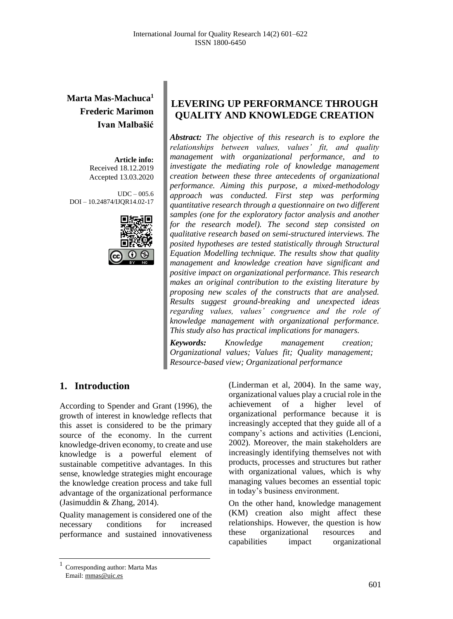# **Marta Mas-Machuca<sup>1</sup> Frederic Marimon Ivan Malbašić**

**Article info:** Received 18.12.2019 Accepted 13.03.2020

UDC – 005.6 DOI – 10.24874/IJQR14.02-17



# **LEVERING UP PERFORMANCE THROUGH QUALITY AND KNOWLEDGE CREATION**

*Abstract: The objective of this research is to explore the relationships between values, values' fit, and quality management with organizational performance, and to investigate the mediating role of knowledge management creation between these three antecedents of organizational performance. Aiming this purpose, a mixed-methodology approach was conducted. First step was performing quantitative research through a questionnaire on two different samples (one for the exploratory factor analysis and another for the research model). The second step consisted on qualitative research based on semi-structured interviews. The posited hypotheses are tested statistically through Structural Equation Modelling technique. The results show that quality management and knowledge creation have significant and positive impact on organizational performance. This research makes an original contribution to the existing literature by proposing new scales of the constructs that are analysed. Results suggest ground-breaking and unexpected ideas regarding values, values' congruence and the role of knowledge management with organizational performance. This study also has practical implications for managers.*

*Keywords: Knowledge management creation; Organizational values; Values fit; Quality management; Resource-based view; Organizational performance*

# **1. Introduction**

According to Spender and Grant (1996), the growth of interest in knowledge reflects that this asset is considered to be the primary source of the economy. In the current knowledge-driven economy, to create and use knowledge is a powerful element of sustainable competitive advantages. In this sense, knowledge strategies might encourage the knowledge creation process and take full advantage of the organizational performance (Jasimuddin & Zhang, 2014).

Quality management is considered one of the necessary conditions for increased performance and sustained innovativeness

(Linderman et al, 2004). In the same way, organizational values play a crucial role in the achievement of a higher level of organizational performance because it is increasingly accepted that they guide all of a company's actions and activities (Lencioni, 2002). Moreover, the main stakeholders are increasingly identifying themselves not with products, processes and structures but rather with organizational values, which is why managing values becomes an essential topic in today's business environment.

On the other hand, knowledge management (KM) creation also might affect these relationships. However, the question is how these organizational resources and capabilities impact organizational

<sup>1</sup> Corresponding author: Marta Mas Email: mmas@uic.es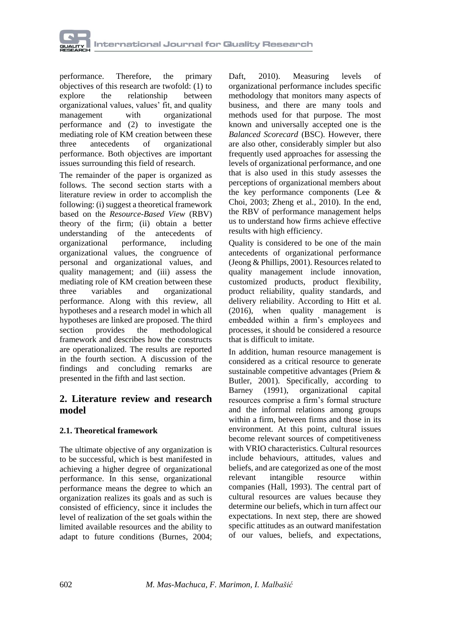

performance. Therefore, the primary objectives of this research are twofold: (1) to explore the relationship between organizational values, values' fit, and quality<br>management with organizational management with organizational performance and (2) to investigate the mediating role of KM creation between these<br>three antecedents of organizational three antecedents of organizational performance. Both objectives are important issues surrounding this field of research.

The remainder of the paper is organized as follows. The second section starts with a literature review in order to accomplish the following: (i) suggest a theoretical framework based on the *Resource-Based View* (RBV) theory of the firm; (ii) obtain a better understanding of the antecedents of organizational performance, including organizational values, the congruence of personal and organizational values, and quality management; and (iii) assess the mediating role of KM creation between these three variables and organizational performance. Along with this review, all hypotheses and a research model in which all hypotheses are linked are proposed. The third section provides the methodological framework and describes how the constructs are operationalized. The results are reported in the fourth section. A discussion of the findings and concluding remarks are presented in the fifth and last section.

### **2. Literature review and research model**

### **2.1. Theoretical framework**

The ultimate objective of any organization is to be successful, which is best manifested in achieving a higher degree of organizational performance. In this sense, organizational performance means the degree to which an organization realizes its goals and as such is consisted of efficiency, since it includes the level of realization of the set goals within the limited available resources and the ability to adapt to future conditions (Burnes, 2004;

Daft, 2010). Measuring levels of organizational performance includes specific methodology that monitors many aspects of business, and there are many tools and methods used for that purpose. The most known and universally accepted one is the *Balanced Scorecard* (BSC). However, there are also other, considerably simpler but also frequently used approaches for assessing the levels of organizational performance, and one that is also used in this study assesses the perceptions of organizational members about the key performance components (Lee & Choi, 2003; Zheng et al., 2010). In the end, the RBV of performance management helps us to understand how firms achieve effective results with high efficiency.

Quality is considered to be one of the main antecedents of organizational performance (Jeong & Phillips, 2001). Resources related to quality management include innovation, customized products, product flexibility, product reliability, quality standards, and delivery reliability. According to Hitt et al. (2016), when quality management is embedded within a firm's employees and processes, it should be considered a resource that is difficult to imitate.

In addition, human resource management is considered as a critical resource to generate sustainable competitive advantages (Priem & Butler, 2001). Specifically, according to Barney (1991), organizational capital resources comprise a firm's formal structure and the informal relations among groups within a firm, between firms and those in its environment. At this point, cultural issues become relevant sources of competitiveness with VRIO characteristics. Cultural resources. include behaviours, attitudes, values and beliefs, and are categorized as one of the most relevant intangible resource within companies (Hall, 1993). The central part of cultural resources are values because they determine our beliefs, which in turn affect our expectations. In next step, there are showed specific attitudes as an outward manifestation of our values, beliefs, and expectations,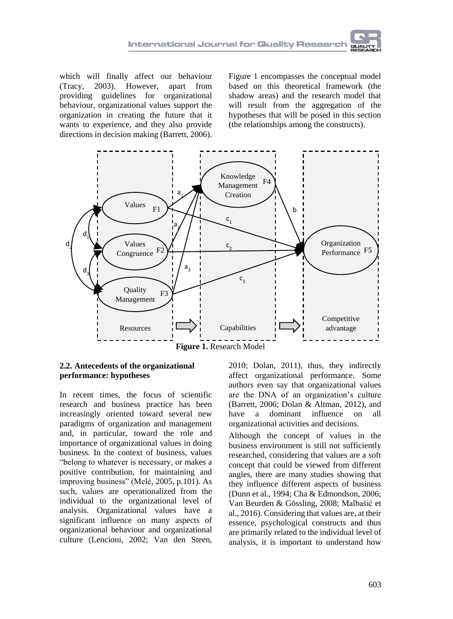which will finally affect our behaviour (Tracy, 2003). However, apart from providing guidelines for organizational behaviour, organizational values support the organization in creating the future that it wants to experience, and they also provide directions in decision making (Barrett, 2006).

Figure 1 encompasses the conceptual model based on this theoretical framework (the shadow areas) and the research model that will result from the aggregation of the hypotheses that will be posed in this section (the relationships among the constructs).



#### **2.2. Antecedents of the organizational performance: hypotheses**

In recent times, the focus of scientific research and business practice has been increasingly oriented toward several new paradigms of organization and management and, in particular, toward the role and importance of organizational values in doing business. In the context of business, values "belong to whatever is necessary, or makes a positive contribution, for maintaining and improving business" (Melé, 2005, p.101). As such, values are operationalized from the individual to the organizational level of analysis. Organizational values have a significant influence on many aspects of organizational behaviour and organizational culture (Lencioni, 2002; Van den Steen,

2010; Dolan, 2011), thus, they indirectly affect organizational performance. Some authors even say that organizational values are the DNA of an organization's culture (Barrett, 2006; Dolan & Altman, 2012), and have a dominant influence on all organizational activities and decisions.

Although the concept of values in the business environment is still not sufficiently researched, considering that values are a soft concept that could be viewed from different angles, there are many studies showing that they influence different aspects of business (Dunn et al., 1994; Cha & Edmondson, 2006; Van Beurden & Gössling, 2008; Malbašić et al., 2016). Considering that values are, at their essence, psychological constructs and thus are primarily related to the individual level of analysis, it is important to understand how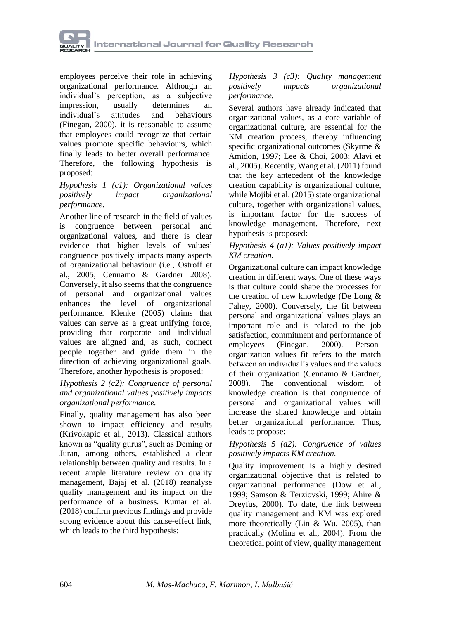

employees perceive their role in achieving organizational performance. Although an individual's perception, as a subjective impression, usually determines an<br>individual's attitudes and behaviours individual's attitudes and behaviours (Finegan, 2000), it is reasonable to assume that employees could recognize that certain values promote specific behaviours, which finally leads to better overall performance. Therefore, the following hypothesis is proposed:

#### *Hypothesis 1 (c1): Organizational values positively impact organizational performance.*

Another line of research in the field of values is congruence between personal and organizational values, and there is clear evidence that higher levels of values' congruence positively impacts many aspects of organizational behaviour (i.e., Ostroff et al., 2005; Cennamo & Gardner 2008). Conversely, it also seems that the congruence of personal and organizational values enhances the level of organizational performance. Klenke (2005) claims that values can serve as a great unifying force, providing that corporate and individual values are aligned and, as such, connect people together and guide them in the direction of achieving organizational goals. Therefore, another hypothesis is proposed:

#### *Hypothesis 2 (c2): Congruence of personal and organizational values positively impacts organizational performance.*

Finally, quality management has also been shown to impact efficiency and results (Krivokapic et al., 2013). Classical authors known as "quality gurus", such as Deming or Juran, among others, established a clear relationship between quality and results. In a recent ample literature review on quality management, Bajaj et al. (2018) reanalyse quality management and its impact on the performance of a business. Kumar et al. (2018) confirm previous findings and provide strong evidence about this cause-effect link, which leads to the third hypothesis:

#### *Hypothesis 3 (c3): Quality management positively impacts organizational performance.*

Several authors have already indicated that organizational values, as a core variable of organizational culture, are essential for the KM creation process, thereby influencing specific organizational outcomes (Skyrme & Amidon, 1997; Lee & Choi, 2003; Alavi et al., 2005). Recently, Wang et al. (2011) found that the key antecedent of the knowledge creation capability is organizational culture, while Mojibi et al. (2015) state organizational culture, together with organizational values, is important factor for the success of knowledge management. Therefore, next hypothesis is proposed:

#### *Hypothesis 4 (a1): Values positively impact KM creation.*

Organizational culture can impact knowledge creation in different ways. One of these ways is that culture could shape the processes for the creation of new knowledge (De Long & Fahey, 2000). Conversely, the fit between personal and organizational values plays an important role and is related to the job satisfaction, commitment and performance of employees (Finegan, 2000). Personorganization values fit refers to the match between an individual's values and the values of their organization (Cennamo & Gardner, 2008). The conventional wisdom of knowledge creation is that congruence of personal and organizational values will increase the shared knowledge and obtain better organizational performance. Thus, leads to propose:

#### *Hypothesis 5 (a2): Congruence of values positively impacts KM creation.*

Quality improvement is a highly desired organizational objective that is related to organizational performance (Dow et al., 1999; Samson & Terziovski, 1999; Ahire & Dreyfus, 2000). To date, the link between quality management and KM was explored more theoretically (Lin & Wu, 2005), than practically (Molina et al., 2004). From the theoretical point of view, quality management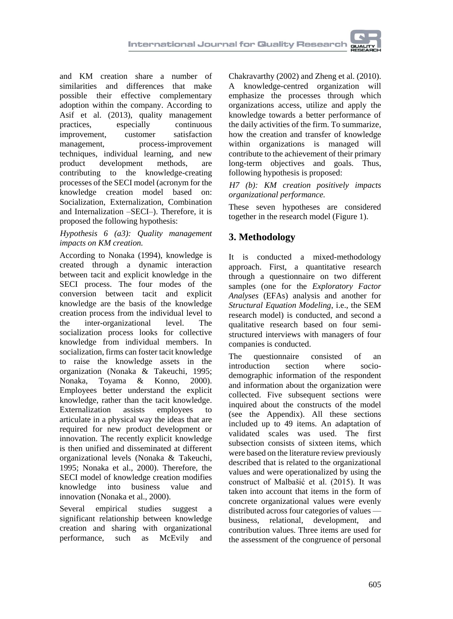and KM creation share a number of similarities and differences that make possible their effective complementary adoption within the company. According to Asif et al. (2013), quality management practices, especially continuous improvement, customer satisfaction<br>management, process-improvement process-improvement techniques, individual learning, and new product development methods, are contributing to the knowledge-creating processes of the SECI model (acronym for the knowledge creation model based on: Socialization, Externalization, Combination and Internalization –SECI–). Therefore, it is proposed the following hypothesis:

#### *Hypothesis 6 (a3): Quality management impacts on KM creation.*

According to Nonaka (1994), knowledge is created through a dynamic interaction between tacit and explicit knowledge in the SECI process. The four modes of the conversion between tacit and explicit knowledge are the basis of the knowledge creation process from the individual level to the inter-organizational level. The socialization process looks for collective knowledge from individual members. In socialization, firms can foster tacit knowledge to raise the knowledge assets in the organization (Nonaka & Takeuchi, 1995; Nonaka, Toyama & Konno, 2000). Employees better understand the explicit knowledge, rather than the tacit knowledge. Externalization assists employees to articulate in a physical way the ideas that are required for new product development or innovation. The recently explicit knowledge is then unified and disseminated at different organizational levels (Nonaka & Takeuchi, 1995; Nonaka et al., 2000). Therefore, the SECI model of knowledge creation modifies knowledge into business value and innovation (Nonaka et al., 2000).

Several empirical studies suggest a significant relationship between knowledge creation and sharing with organizational performance, such as McEvily and

Chakravarthy (2002) and Zheng et al. (2010). A knowledge-centred organization will emphasize the processes through which organizations access, utilize and apply the knowledge towards a better performance of the daily activities of the firm. To summarize, how the creation and transfer of knowledge within organizations is managed will contribute to the achievement of their primary long-term objectives and goals. Thus, following hypothesis is proposed:

*H7 (b): KM creation positively impacts organizational performance.*

These seven hypotheses are considered together in the research model (Figure 1).

# **3. Methodology**

It is conducted a mixed-methodology approach. First, a quantitative research through a questionnaire on two different samples (one for the *Exploratory Factor Analyses* (EFAs) analysis and another for *Structural Equation Modeling*, i.e., the SEM research model) is conducted, and second a qualitative research based on four semistructured interviews with managers of four companies is conducted.

The questionnaire consisted of an introduction section where sociodemographic information of the respondent and information about the organization were collected. Five subsequent sections were inquired about the constructs of the model (see the Appendix). All these sections included up to 49 items. An adaptation of validated scales was used. The first subsection consists of sixteen items, which were based on the literature review previously described that is related to the organizational values and were operationalized by using the construct of Malbašić et al. (2015). It was taken into account that items in the form of concrete organizational values were evenly distributed across four categories of values business, relational, development, and contribution values. Three items are used for the assessment of the congruence of personal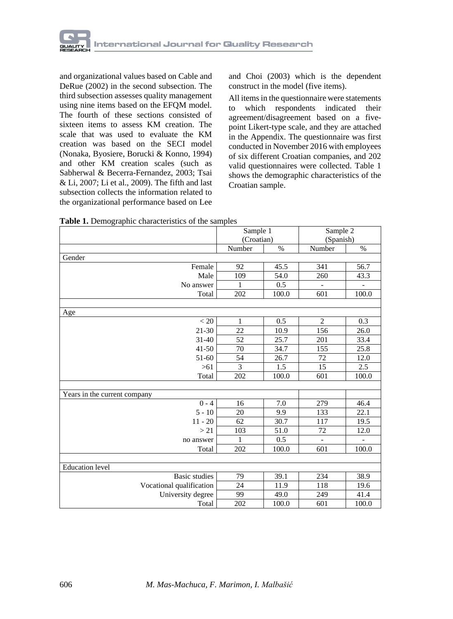

and organizational values based on Cable and DeRue (2002) in the second subsection. The third subsection assesses quality management using nine items based on the EFQM model. The fourth of these sections consisted of sixteen items to assess KM creation. The scale that was used to evaluate the KM creation was based on the SECI model (Nonaka, Byosiere, Borucki & Konno, 1994) and other KM creation scales (such as Sabherwal & Becerra-Fernandez, 2003; Tsai & Li, 2007; Li et al., 2009). The fifth and last subsection collects the information related to the organizational performance based on Lee

and Choi (2003) which is the dependent construct in the model (five items).

All items in the questionnaire were statements to which respondents indicated their agreement/disagreement based on a fivepoint Likert-type scale, and they are attached in the Appendix. The questionnaire was first conducted in November 2016 with employees of six different Croatian companies, and 202 valid questionnaires were collected. Table 1 shows the demographic characteristics of the Croatian sample.

|                              | Sample 1     |       | Sample 2<br>(Spanish) |       |  |
|------------------------------|--------------|-------|-----------------------|-------|--|
|                              | (Croatian)   |       |                       |       |  |
|                              | Number       | $\%$  | Number                | $\%$  |  |
| Gender                       |              |       |                       |       |  |
| Female                       | 92           | 45.5  | 341                   | 56.7  |  |
| Male                         | 109          | 54.0  | 260                   | 43.3  |  |
| No answer                    | 1            | 0.5   |                       |       |  |
| Total                        | 202          | 100.0 | 601                   | 100.0 |  |
|                              |              |       |                       |       |  |
| Age                          |              |       |                       |       |  |
| < 20                         | 1            | 0.5   | $\overline{2}$        | 0.3   |  |
| 21-30                        | 22           | 10.9  | 156                   | 26.0  |  |
| $31 - 40$                    | 52           | 25.7  | 201                   | 33.4  |  |
| $41 - 50$                    | 70           | 34.7  | 155                   | 25.8  |  |
| 51-60                        | 54           | 26.7  | 72                    | 12.0  |  |
| $>61$                        | 3            | 1.5   | 15                    | 2.5   |  |
| Total                        | 202          | 100.0 | 601                   | 100.0 |  |
|                              |              |       |                       |       |  |
| Years in the current company |              |       |                       |       |  |
| $0 - 4$                      | 16           | 7.0   | 279                   | 46.4  |  |
| $5 - 10$                     | 20           | 9.9   | 133                   | 22.1  |  |
| $11 - 20$                    | 62           | 30.7  | 117                   | 19.5  |  |
| >21                          | 103          | 51.0  | 72                    | 12.0  |  |
| no answer                    | $\mathbf{1}$ | 0.5   | $\overline{a}$        |       |  |
| Total                        | 202          | 100.0 | 601                   | 100.0 |  |
|                              |              |       |                       |       |  |
| <b>Education</b> level       |              |       |                       |       |  |
| <b>Basic</b> studies         | 79           | 39.1  | 234                   | 38.9  |  |
| Vocational qualification     | 24           | 11.9  | 118                   | 19.6  |  |
| University degree            | 99           | 49.0  | 249                   | 41.4  |  |
| Total                        | 202          | 100.0 | 601                   | 100.0 |  |

**Table 1.** Demographic characteristics of the samples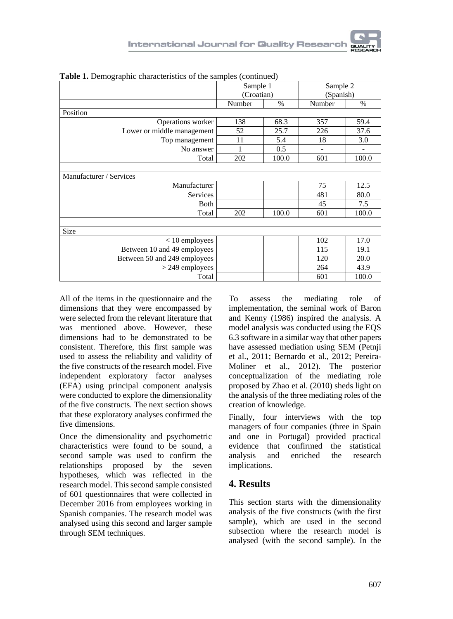| Sample 2<br>(Spanish)<br>$\%$<br>59.4<br>37.6<br>3.0<br>100.0 |
|---------------------------------------------------------------|
|                                                               |
|                                                               |
|                                                               |
|                                                               |
|                                                               |
|                                                               |
|                                                               |
|                                                               |
|                                                               |
|                                                               |
|                                                               |
| 12.5                                                          |
| 80.0                                                          |
| 7.5                                                           |
| 100.0                                                         |
|                                                               |
|                                                               |
| 17.0                                                          |
| 19.1                                                          |
| 20.0                                                          |
| 43.9                                                          |
|                                                               |
|                                                               |

**Table 1.** Demographic characteristics of the samples (continued)

All of the items in the questionnaire and the dimensions that they were encompassed by were selected from the relevant literature that was mentioned above. However, these dimensions had to be demonstrated to be consistent. Therefore, this first sample was used to assess the reliability and validity of the five constructs of the research model. Five independent exploratory factor analyses (EFA) using principal component analysis were conducted to explore the dimensionality of the five constructs. The next section shows that these exploratory analyses confirmed the five dimensions.

Once the dimensionality and psychometric characteristics were found to be sound, a second sample was used to confirm the relationships proposed by the seven hypotheses, which was reflected in the research model. This second sample consisted of 601 questionnaires that were collected in December 2016 from employees working in Spanish companies. The research model was analysed using this second and larger sample through SEM techniques.

To assess the mediating role of implementation, the seminal work of Baron and Kenny (1986) inspired the analysis. A model analysis was conducted using the EQS 6.3 software in a similar way that other papers have assessed mediation using SEM (Petnji et al., 2011; Bernardo et al., 2012; Pereira-Moliner et al., 2012). The posterior conceptualization of the mediating role proposed by Zhao et al. (2010) sheds light on the analysis of the three mediating roles of the creation of knowledge.

Finally, four interviews with the top managers of four companies (three in Spain and one in Portugal) provided practical evidence that confirmed the statistical analysis and enriched the research implications.

### **4. Results**

This section starts with the dimensionality analysis of the five constructs (with the first sample), which are used in the second subsection where the research model is analysed (with the second sample). In the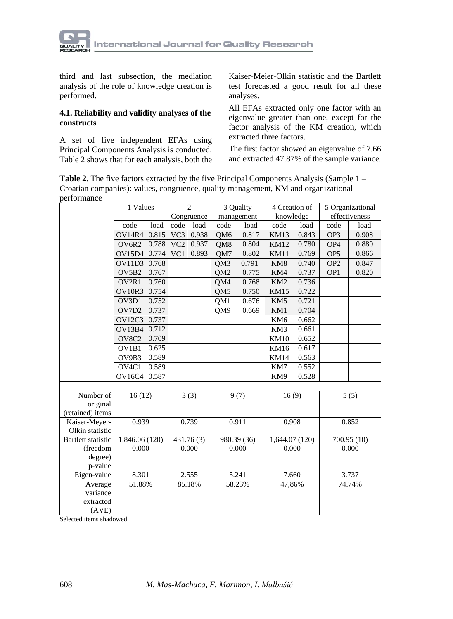

third and last subsection, the mediation analysis of the role of knowledge creation is performed.

#### **4.1. Reliability and validity analyses of the constructs**

A set of five independent EFAs using Principal Components Analysis is conducted. Table 2 shows that for each analysis, both the Kaiser-Meier-Olkin statistic and the Bartlett test forecasted a good result for all these analyses.

All EFAs extracted only one factor with an eigenvalue greater than one, except for the factor analysis of the KM creation, which extracted three factors.

The first factor showed an eigenvalue of 7.66 and extracted 47.87% of the sample variance.

**Table 2.** The five factors extracted by the five Principal Components Analysis (Sample 1 – Croatian companies): values, congruence, quality management, KM and organizational performance

|                           | 1 Values                       |       |                  | $\overline{\mathcal{L}}$ |                 | 3 Quality   | 4 Creation of   |       |                 | 5 Organizational |
|---------------------------|--------------------------------|-------|------------------|--------------------------|-----------------|-------------|-----------------|-------|-----------------|------------------|
|                           |                                |       |                  | Congruence               |                 | management  | knowledge       |       |                 | effectiveness    |
|                           | code                           | load  | code             | load                     | code            | load        | code            | load  | code            | load             |
|                           | OV14R4                         | 0.815 | VC3              | 0.938                    | QM <sub>6</sub> | 0.817       | <b>KM13</b>     | 0.843 | OP3             | 0.908            |
|                           | OV6R2                          | 0.788 | $\overline{VC2}$ | 0.937                    | QM8             | 0.804       | <b>KM12</b>     | 0.780 | OP <sub>4</sub> | 0.880            |
|                           | <b>OV15D4</b>                  | 0.774 | VC1              | 0.893                    | QM7             | 0.802       | <b>KM11</b>     | 0.769 | OP <sub>5</sub> | 0.866            |
|                           | OV11D3                         | 0.768 |                  |                          | QM3             | 0.791       | KM8             | 0.740 | OP <sub>2</sub> | 0.847            |
|                           | OV5B2                          | 0.767 |                  |                          | QM <sub>2</sub> | 0.775       | KM4             | 0.737 | OP <sub>1</sub> | 0.820            |
|                           | OV2R1                          | 0.760 |                  |                          | QM4             | 0.768       | KM <sub>2</sub> | 0.736 |                 |                  |
|                           | OV10R3                         | 0.754 |                  |                          | QM5             | 0.750       | <b>KM15</b>     | 0.722 |                 |                  |
|                           | OV3D1                          | 0.752 |                  |                          | QM1             | 0.676       | KM5             | 0.721 |                 |                  |
|                           | OV7D2                          | 0.737 |                  |                          | OM <sub>9</sub> | 0.669       | KM1             | 0.704 |                 |                  |
|                           | <b>OV12C3</b>                  | 0.737 |                  |                          |                 |             | KM <sub>6</sub> | 0.662 |                 |                  |
|                           | OV13B4                         | 0.712 |                  |                          |                 |             | KM3             | 0.661 |                 |                  |
|                           | OV8C2                          | 0.709 |                  |                          |                 |             | <b>KM10</b>     | 0.652 |                 |                  |
|                           | OV1B1                          | 0.625 |                  |                          |                 |             | <b>KM16</b>     | 0.617 |                 |                  |
|                           | OV9B3                          | 0.589 |                  |                          |                 |             | <b>KM14</b>     | 0.563 |                 |                  |
|                           | OV <sub>4</sub> C <sub>1</sub> | 0.589 |                  |                          |                 |             | KM7             | 0.552 |                 |                  |
|                           | <b>OV16C4</b>                  | 0.587 |                  |                          |                 |             | KM9             | 0.528 |                 |                  |
|                           |                                |       |                  |                          |                 |             |                 |       |                 |                  |
| Number of                 | 16(12)                         |       |                  | 3(3)                     |                 | 9(7)        | 16(9)           |       |                 | 5(5)             |
| original                  |                                |       |                  |                          |                 |             |                 |       |                 |                  |
| (retained) items          |                                |       |                  |                          |                 |             |                 |       |                 |                  |
| Kaiser-Meyer-             | 0.939                          |       |                  | 0.739                    |                 | 0.911       | 0.908           |       |                 | 0.852            |
| Olkin statistic           |                                |       |                  |                          |                 |             |                 |       |                 |                  |
| <b>Bartlett</b> statistic | 1,846.06 (120)                 |       |                  | 431.76(3)                |                 | 980.39 (36) | 1,644.07 (120)  |       |                 | 700.95 (10)      |
| (freedom                  | 0.000                          |       |                  | 0.000                    |                 | 0.000       | 0.000           |       |                 | 0.000            |
| degree)                   |                                |       |                  |                          |                 |             |                 |       |                 |                  |
| p-value                   |                                |       |                  |                          |                 |             |                 |       |                 |                  |
| Eigen-value               | 8.301                          |       |                  | 2.555                    |                 | 5.241       | 7.660           |       |                 | 3.737            |
| Average                   | 51.88%                         |       |                  | 85.18%                   |                 | 58.23%      | 47,86%          |       |                 | 74.74%           |
| variance                  |                                |       |                  |                          |                 |             |                 |       |                 |                  |
| extracted                 |                                |       |                  |                          |                 |             |                 |       |                 |                  |
| (AVE)                     |                                |       |                  |                          |                 |             |                 |       |                 |                  |

Selected items shadowed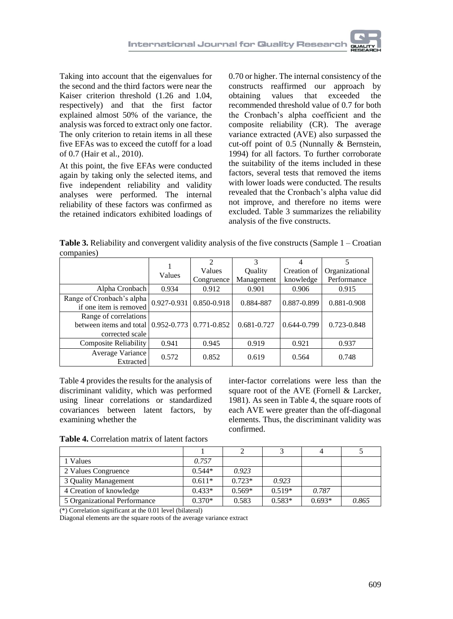Taking into account that the eigenvalues for the second and the third factors were near the Kaiser criterion threshold (1.26 and 1.04, respectively) and that the first factor explained almost 50% of the variance, the analysis was forced to extract only one factor. The only criterion to retain items in all these five EFAs was to exceed the cutoff for a load of 0.7 (Hair et al., 2010).

At this point, the five EFAs were conducted again by taking only the selected items, and five independent reliability and validity analyses were performed. The internal reliability of these factors was confirmed as the retained indicators exhibited loadings of 0.70 or higher. The internal consistency of the constructs reaffirmed our approach by<br>obtaining values that exceeded the obtaining values that exceeded the recommended threshold value of 0.7 for both the Cronbach's alpha coefficient and the composite reliability (CR). The average variance extracted (AVE) also surpassed the cut-off point of 0.5 (Nunnally & Bernstein, 1994) for all factors. To further corroborate the suitability of the items included in these factors, several tests that removed the items with lower loads were conducted. The results revealed that the Cronbach's alpha value did not improve, and therefore no items were excluded. Table 3 summarizes the reliability analysis of the five constructs.

**Table 3.** Reliability and convergent validity analysis of the five constructs (Sample 1 – Croatian companies)

|                                                       |        | $\mathfrak{D}$          | 3           |             |                |
|-------------------------------------------------------|--------|-------------------------|-------------|-------------|----------------|
|                                                       | Values | Values                  | Ouality     | Creation of | Organizational |
|                                                       |        | Congruence              | Management  | knowledge   | Performance    |
| Alpha Cronbach                                        | 0.934  | 0.912                   | 0.901       | 0.906       | 0.915          |
| Range of Cronbach's alpha                             |        | 0.927-0.931 0.850-0.918 | 0.884-887   | 0.887-0.899 | 0.881-0.908    |
| if one item is removed                                |        |                         |             |             |                |
| Range of correlations                                 |        |                         |             |             |                |
| between items and total $(0.952 - 0.773)$ 0.771-0.852 |        |                         | 0.681-0.727 | 0.644-0.799 | 0.723-0.848    |
| corrected scale                                       |        |                         |             |             |                |
| Composite Reliability                                 | 0.941  | 0.945                   | 0.919       | 0.921       | 0.937          |
| Average Variance                                      | 0.572  | 0.852                   | 0.619       | 0.564       | 0.748          |
| Extracted                                             |        |                         |             |             |                |

Table 4 provides the results for the analysis of discriminant validity, which was performed using linear correlations or standardized covariances between latent factors, by examining whether the

inter-factor correlations were less than the square root of the AVE (Fornell & Larcker, 1981). As seen in Table 4, the square roots of each AVE were greater than the off-diagonal elements. Thus, the discriminant validity was confirmed.

**Table 4.** Correlation matrix of latent factors

| 1 Values                     | 0.757    |          |          |          |       |
|------------------------------|----------|----------|----------|----------|-------|
| 2 Values Congruence          | $0.544*$ | 0.923    |          |          |       |
| 3 Quality Management         | $0.611*$ | $0.723*$ | 0.923    |          |       |
| 4 Creation of knowledge      | $0.433*$ | $0.569*$ | $0.519*$ | 0.787    |       |
| 5 Organizational Performance | $0.370*$ | 0.583    | $0.583*$ | $0.693*$ | 0.865 |

 $(*)$  Correlation significant at the 0.01 level (bilateral)

Diagonal elements are the square roots of the average variance extract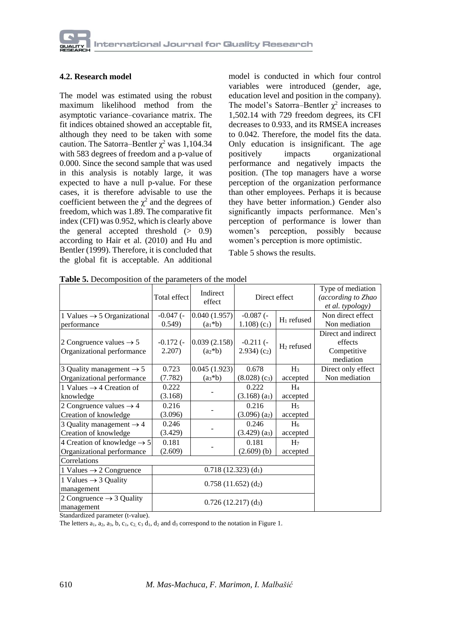#### **4.2. Research model**

The model was estimated using the robust maximum likelihood method from the asymptotic variance–covariance matrix. The fit indices obtained showed an acceptable fit, although they need to be taken with some caution. The Satorra–Bentler  $\chi^2$  was 1,104.34 with 583 degrees of freedom and a p-value of 0.000. Since the second sample that was used in this analysis is notably large, it was expected to have a null p-value. For these cases, it is therefore advisable to use the coefficient between the  $\chi^2$  and the degrees of freedom, which was 1.89. The comparative fit index (CFI) was 0.952, which is clearly above the general accepted threshold (> 0.9) according to Hair et al. (2010) and Hu and Bentler (1999). Therefore, it is concluded that the global fit is acceptable. An additional

model is conducted in which four control variables were introduced (gender, age, education level and position in the company). The model's Satorra–Bentler  $\chi^2$  increases to 1,502.14 with 729 freedom degrees, its CFI decreases to 0.933, and its RMSEA increases to 0.042. Therefore, the model fits the data. Only education is insignificant. The age positively impacts organizational performance and negatively impacts the position. (The top managers have a worse perception of the organization performance than other employees. Perhaps it is because they have better information.) Gender also significantly impacts performance. Men's perception of performance is lower than women's perception, possibly because women's perception is more optimistic.

Table 5 shows the results.

|                                                                   | Total effect             | Indirect<br>effect          | Direct effect                          |                        | Type of mediation<br>(according to Zhao<br>et al. typology) |
|-------------------------------------------------------------------|--------------------------|-----------------------------|----------------------------------------|------------------------|-------------------------------------------------------------|
| 1 Values $\rightarrow$ 5 Organizational<br>performance            | $-0.047$ (-<br>0.549     | 0.040(1.957)<br>$(a_1 * b)$ | $-0.087$ (-<br>1.108 $(c_1)$           | $H_1$ refused          | Non direct effect<br>Non mediation                          |
| 2 Congruence values $\rightarrow$ 5<br>Organizational performance | $-0.172$ ( $-$<br>2.207) | 0.039(2.158)<br>$(a*b)$     | $-0.211(-$<br>(2.934)(c <sub>2</sub> ) | H <sub>2</sub> refused | Direct and indirect<br>effects<br>Competitive<br>mediation  |
| 3 Quality management $\rightarrow$ 5                              | 0.723                    | 0.045(1.923)                | 0.678                                  | $H_3$                  | Direct only effect                                          |
| Organizational performance                                        | (7.782)                  | $(a_3 * b)$                 | $(8.028)$ (c <sub>3</sub> )            | accepted               | Non mediation                                               |
| 1 Values $\rightarrow$ 4 Creation of                              | 0.222                    |                             | 0.222                                  | $H_4$                  |                                                             |
| knowledge                                                         | (3.168)                  |                             | $(3.168)$ (a <sub>1</sub> )            | accepted               |                                                             |
| 2 Congruence values $\rightarrow$ 4                               | 0.216                    |                             | 0.216                                  | H <sub>5</sub>         |                                                             |
| Creation of knowledge                                             | (3.096)                  |                             | $(3.096)$ (a <sub>2</sub> )            | accepted               |                                                             |
| 3 Quality management $\rightarrow$ 4                              | 0.246                    |                             | 0.246                                  | H <sub>6</sub>         |                                                             |
| Creation of knowledge                                             | (3.429)                  |                             | $(3.429)$ (a <sub>3</sub> )            | accepted               |                                                             |
| 4 Creation of knowledge $\rightarrow$ 5                           | 0.181                    |                             | 0.181                                  | H <sub>7</sub>         |                                                             |
| Organizational performance                                        | (2.609)                  |                             | $(2.609)$ (b)                          | accepted               |                                                             |
| Correlations                                                      |                          |                             |                                        |                        |                                                             |
| 1 Values $\rightarrow$ 2 Congruence                               |                          |                             |                                        |                        |                                                             |
| 1 Values $\rightarrow$ 3 Quality<br>management                    |                          |                             |                                        |                        |                                                             |
| 2 Congruence $\rightarrow$ 3 Quality<br>management                |                          | $0.726(12.217)(d_3)$        |                                        |                        |                                                             |

**Table 5.** Decomposition of the parameters of the model

Standardized parameter (t-value).

The letters  $a_1$ ,  $a_2$ ,  $a_3$ ,  $b$ ,  $c_1$ ,  $c_2$ ,  $c_3$   $d_1$ ,  $d_2$  and  $d_3$  correspond to the notation in Figure 1.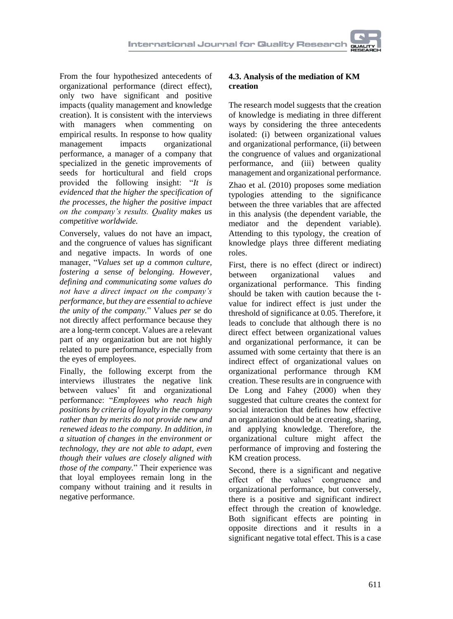From the four hypothesized antecedents of organizational performance (direct effect), only two have significant and positive impacts (quality management and knowledge creation). It is consistent with the interviews with managers when commenting on empirical results. In response to how quality<br>management impacts organizational organizational performance, a manager of a company that specialized in the genetic improvements of seeds for horticultural and field crops provided the following insight: "*It is evidenced that the higher the specification of the processes, the higher the positive impact on the company's results. Quality makes us competitive worldwide.*

Conversely, values do not have an impact, and the congruence of values has significant and negative impacts. In words of one manager, "*Values set up a common culture, fostering a sense of belonging. However, defining and communicating some values do not have a direct impact on the company's performance, but they are essential to achieve the unity of the company.*" Values *per se* do not directly affect performance because they are a long-term concept. Values are a relevant part of any organization but are not highly related to pure performance, especially from the eyes of employees.

Finally, the following excerpt from the interviews illustrates the negative link between values' fit and organizational performance: "*Employees who reach high positions by criteria of loyalty in the company rather than by merits do not provide new and renewed ideas to the company. In addition, in a situation of changes in the environment or technology, they are not able to adapt, even though their values are closely aligned with those of the company.*" Their experience was that loyal employees remain long in the company without training and it results in negative performance.

### **4.3. Analysis of the mediation of KM creation**

The research model suggests that the creation of knowledge is mediating in three different ways by considering the three antecedents isolated: (i) between organizational values and organizational performance, (ii) between the congruence of values and organizational performance, and (iii) between quality management and organizational performance.

Zhao et al. (2010) proposes some mediation typologies attending to the significance between the three variables that are affected in this analysis (the dependent variable, the mediator and the dependent variable). Attending to this typology, the creation of knowledge plays three different mediating roles.

First, there is no effect (direct or indirect) between organizational values and organizational performance. This finding should be taken with caution because the tvalue for indirect effect is just under the threshold of significance at 0.05. Therefore, it leads to conclude that although there is no direct effect between organizational values and organizational performance, it can be assumed with some certainty that there is an indirect effect of organizational values on organizational performance through KM creation. These results are in congruence with De Long and Fahey (2000) when they suggested that culture creates the context for social interaction that defines how effective an organization should be at creating, sharing, and applying knowledge. Therefore, the organizational culture might affect the performance of improving and fostering the KM creation process.

Second, there is a significant and negative effect of the values' congruence and organizational performance, but conversely, there is a positive and significant indirect effect through the creation of knowledge. Both significant effects are pointing in opposite directions and it results in a significant negative total effect. This is a case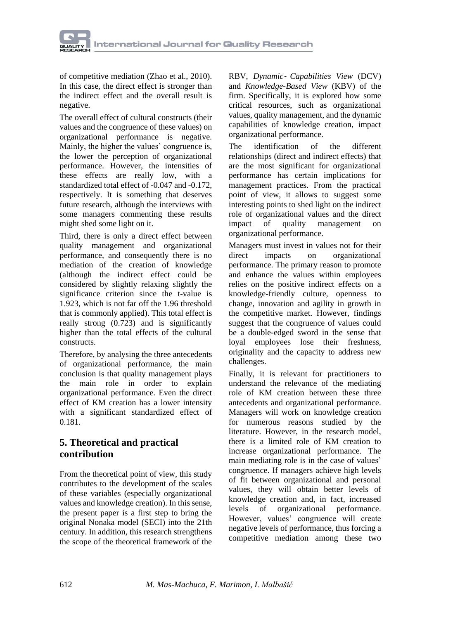of competitive mediation (Zhao et al., 2010). In this case, the direct effect is stronger than the indirect effect and the overall result is negative.

The overall effect of cultural constructs (their values and the congruence of these values) on organizational performance is negative. Mainly, the higher the values' congruence is, the lower the perception of organizational performance. However, the intensities of these effects are really low, with a standardized total effect of -0.047 and -0.172, respectively. It is something that deserves future research, although the interviews with some managers commenting these results might shed some light on it.

Third, there is only a direct effect between quality management and organizational performance, and consequently there is no mediation of the creation of knowledge (although the indirect effect could be considered by slightly relaxing slightly the significance criterion since the t-value is 1.923, which is not far off the 1.96 threshold that is commonly applied). This total effect is really strong (0.723) and is significantly higher than the total effects of the cultural constructs.

Therefore, by analysing the three antecedents of organizational performance, the main conclusion is that quality management plays the main role in order to explain organizational performance. Even the direct effect of KM creation has a lower intensity with a significant standardized effect of 0.181.

# **5. Theoretical and practical contribution**

From the theoretical point of view, this study contributes to the development of the scales of these variables (especially organizational values and knowledge creation). In this sense, the present paper is a first step to bring the original Nonaka model (SECI) into the 21th century. In addition, this research strengthens the scope of the theoretical framework of the

RBV, *Dynamic*‐ *Capabilities View* (DCV) and *Knowledge-Based View* (KBV) of the firm. Specifically, it is explored how some critical resources, such as organizational values, quality management, and the dynamic capabilities of knowledge creation, impact organizational performance.

The identification of the different relationships (direct and indirect effects) that are the most significant for organizational performance has certain implications for management practices. From the practical point of view, it allows to suggest some interesting points to shed light on the indirect role of organizational values and the direct impact of quality management on organizational performance.

Managers must invest in values not for their direct impacts on organizational performance. The primary reason to promote and enhance the values within employees relies on the positive indirect effects on a knowledge-friendly culture, openness to change, innovation and agility in growth in the competitive market. However, findings suggest that the congruence of values could be a double-edged sword in the sense that loyal employees lose their freshness, originality and the capacity to address new challenges.

Finally, it is relevant for practitioners to understand the relevance of the mediating role of KM creation between these three antecedents and organizational performance. Managers will work on knowledge creation for numerous reasons studied by the literature. However, in the research model, there is a limited role of KM creation to increase organizational performance. The main mediating role is in the case of values' congruence. If managers achieve high levels of fit between organizational and personal values, they will obtain better levels of knowledge creation and, in fact, increased levels of organizational performance. However, values' congruence will create negative levels of performance, thus forcing a competitive mediation among these two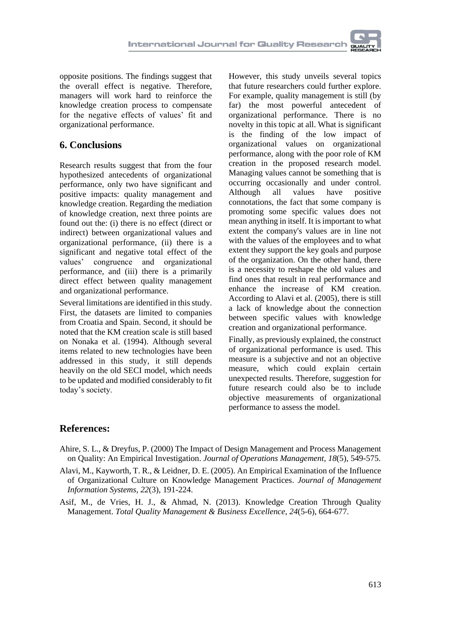opposite positions. The findings suggest that the overall effect is negative. Therefore, managers will work hard to reinforce the knowledge creation process to compensate for the negative effects of values' fit and organizational performance.

### **6. Conclusions**

Research results suggest that from the four hypothesized antecedents of organizational performance, only two have significant and positive impacts: quality management and knowledge creation. Regarding the mediation of knowledge creation, next three points are found out the: (i) there is no effect (direct or indirect) between organizational values and organizational performance, (ii) there is a significant and negative total effect of the values' congruence and organizational performance, and (iii) there is a primarily direct effect between quality management and organizational performance.

Several limitations are identified in this study. First, the datasets are limited to companies from Croatia and Spain. Second, it should be noted that the KM creation scale is still based on Nonaka et al. (1994). Although several items related to new technologies have been addressed in this study, it still depends heavily on the old SECI model, which needs to be updated and modified considerably to fit today's society.

However, this study unveils several topics that future researchers could further explore. For example, quality management is still (by far) the most powerful antecedent of organizational performance. There is no novelty in this topic at all. What is significant is the finding of the low impact of organizational values on organizational performance, along with the poor role of KM creation in the proposed research model. Managing values cannot be something that is occurring occasionally and under control. Although all values have positive connotations, the fact that some company is promoting some specific values does not mean anything in itself. It is important to what extent the company's values are in line not with the values of the employees and to what extent they support the key goals and purpose of the organization. On the other hand, there is a necessity to reshape the old values and find ones that result in real performance and enhance the increase of KM creation. According to Alavi et al. (2005), there is still a lack of knowledge about the connection between specific values with knowledge creation and organizational performance.

Finally, as previously explained, the construct of organizational performance is used. This measure is a subjective and not an objective measure, which could explain certain unexpected results. Therefore, suggestion for future research could also be to include objective measurements of organizational performance to assess the model.

# **References:**

- Ahire, S. L., & Dreyfus, P. (2000) The Impact of Design Management and Process Management on Quality: An Empirical Investigation. *Journal of Operations Management*, *18*(5), 549-575.
- Alavi, M., Kayworth, T. R., & Leidner, D. E. (2005). An Empirical Examination of the Influence of Organizational Culture on Knowledge Management Practices. *Journal of Management Information Systems*, *22*(3), 191-224.
- Asif, M., de Vries, H. J., & Ahmad, N. (2013). Knowledge Creation Through Quality Management. *Total Quality Management & Business Excellence*, *24*(5-6), 664-677.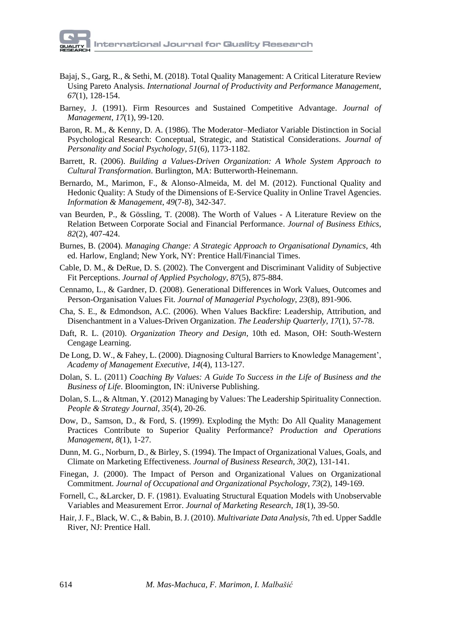- Bajaj, S., Garg, R., & Sethi, M. (2018). Total Quality Management: A Critical Literature Review Using Pareto Analysis. *International Journal of Productivity and Performance Management*, *67*(1), 128-154.
- Barney, J. (1991). Firm Resources and Sustained Competitive Advantage. *Journal of Management*, *17*(1), 99-120.
- Baron, R. M., & Kenny, D. A. (1986). The Moderator–Mediator Variable Distinction in Social Psychological Research: Conceptual, Strategic, and Statistical Considerations. *Journal of Personality and Social Psychology*, *51*(6), 1173-1182.
- Barrett, R. (2006). *Building a Values-Driven Organization: A Whole System Approach to Cultural Transformation*. Burlington, MA: Butterworth-Heinemann.
- Bernardo, M., Marimon, F., & Alonso-Almeida, M. del M. (2012). Functional Quality and Hedonic Quality: A Study of the Dimensions of E-Service Quality in Online Travel Agencies. *Information & Management*, *49*(7-8), 342-347.
- van Beurden, P., & Gössling, T. (2008). The Worth of Values A Literature Review on the Relation Between Corporate Social and Financial Performance. *Journal of Business Ethics*, *82*(2), 407-424.
- Burnes, B. (2004). *Managing Change: A Strategic Approach to Organisational Dynamics*, 4th ed. Harlow, England; New York, NY: Prentice Hall/Financial Times.
- Cable, D. M., & DeRue, D. S. (2002). The Convergent and Discriminant Validity of Subjective Fit Perceptions. *Journal of Applied Psychology*, *87*(5), 875-884.
- Cennamo, L., & Gardner, D. (2008). Generational Differences in Work Values, Outcomes and Person-Organisation Values Fit. *Journal of Managerial Psychology*, *23*(8), 891-906.
- Cha, S. E., & Edmondson, A.C. (2006). When Values Backfire: Leadership, Attribution, and Disenchantment in a Values-Driven Organization. *The Leadership Quarterly*, *17*(1), 57-78.
- Daft, R. L. (2010). *Organization Theory and Design*, 10th ed. Mason, OH: South-Western Cengage Learning.
- De Long, D. W., & Fahey, L. (2000). Diagnosing Cultural Barriers to Knowledge Management', *Academy of Management Executive*, *14*(4), 113-127.
- Dolan, S. L. (2011) *Coaching By Values: A Guide To Success in the Life of Business and the Business of Life*. Bloomington, IN: iUniverse Publishing.
- Dolan, S. L., & Altman, Y. (2012) Managing by Values: The Leadership Spirituality Connection. *People & Strategy Journal*, *35*(4), 20-26.
- Dow, D., Samson, D., & Ford, S. (1999). Exploding the Myth: Do All Quality Management Practices Contribute to Superior Quality Performance? *Production and Operations Management*, *8*(1), 1-27.
- Dunn, M. G., Norburn, D., & Birley, S. (1994). The Impact of Organizational Values, Goals, and Climate on Marketing Effectiveness. *Journal of Business Research*, *30*(2), 131-141.
- Finegan, J. (2000). The Impact of Person and Organizational Values on Organizational Commitment. *Journal of Occupational and Organizational Psychology*, *73*(2), 149-169.
- Fornell, C., &Larcker, D. F. (1981). Evaluating Structural Equation Models with Unobservable Variables and Measurement Error. *Journal of Marketing Research*, *18*(1), 39-50.
- Hair, J. F., Black, W. C., & Babin, B. J. (2010). *Multivariate Data Analysis*, 7th ed. Upper Saddle River, NJ: Prentice Hall.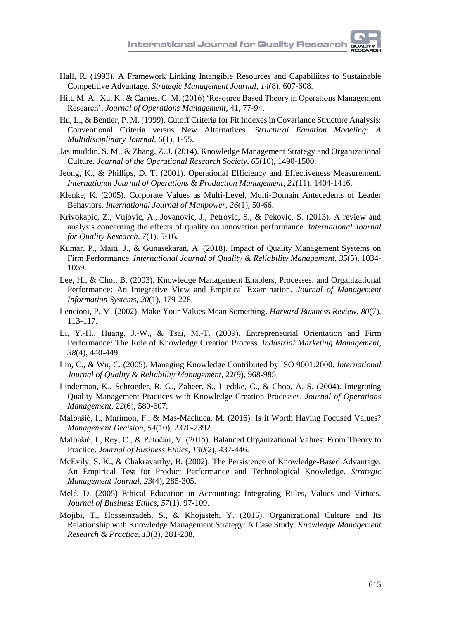- Hall, R. (1993). A Framework Linking Intangible Resources and Capabiliites to Sustainable Competitive Advantage. *Strategic Management Journal*, *14*(8), 607-608.
- Hitt, M. A., Xu, K., & Carnes, C. M. (2016) 'Resource Based Theory in Operations Management Research', *Journal of Operations Management*, 41, 77-94.
- Hu, L., & Bentler, P. M. (1999). Cutoff Criteria for Fit Indexes in Covariance Structure Analysis: Conventional Criteria versus New Alternatives. *Structural Equation Modeling: A Multidisciplinary Journal*, *6*(1), 1-55.
- Jasimuddin, S. M., & Zhang, Z. J. (2014). Knowledge Management Strategy and Organizational Culture. *Journal of the Operational Research Society*, *65*(10), 1490-1500.
- Jeong, K., & Phillips, D. T. (2001). Operational Efficiency and Effectiveness Measurement. *International Journal of Operations & Production Management*, *21*(11), 1404-1416.
- Klenke, K. (2005). Corporate Values as Multi-Level, Multi-Domain Antecedents of Leader Behaviors. *International Journal of Manpower*, *26*(1), 50-66.
- Krivokapic, Z., Vujovic, A., Jovanovic, J., Petrovic, S., & Pekovic, S. (2013). A review and analysis concerning the effects of quality on innovation performance. *International Journal for Quality Research*, *7*(1), 5-16.
- Kumar, P., Maiti, J., & Gunasekaran, A. (2018). Impact of Quality Management Systems on Firm Performance. *International Journal of Quality & Reliability Management*, *35*(5), 1034- 1059.
- Lee, H., & Choi, B. (2003). Knowledge Management Enablers, Processes, and Organizational Performance: An Integrative View and Empirical Examination. *Journal of Management Information Systems*, *20*(1), 179-228.
- Lencioni, P. M. (2002). Make Your Values Mean Something. *Harvard Business Review*, *80*(7), 113-117.
- Li, Y.-H., Huang, J.-W., & Tsai, M.-T. (2009). Entrepreneurial Orientation and Firm Performance: The Role of Knowledge Creation Process. *Industrial Marketing Management*, *38*(4), 440-449.
- Lin, C., & Wu, C. (2005). Managing Knowledge Contributed by ISO 9001:2000. *International Journal of Quality & Reliability Management*, 22(9), 968-985.
- Linderman, K., Schroeder, R. G., Zaheer, S., Liedtke, C., & Choo, A. S. (2004). Integrating Quality Management Practices with Knowledge Creation Processes. *Journal of Operations Management*, *22*(6), 589-607.
- Malbašić, I., Marimon, F., & Mas-Machuca, M. (2016). Is it Worth Having Focused Values? *Management Decision*, *54*(10), 2370-2392.
- Malbašić, I., Rey, C., & Potočan, V. (2015). Balanced Organizational Values: From Theory to Practice. *Journal of Business Ethics*, *130*(2), 437-446.
- McEvily, S. K., & Chakravarthy, B. (2002). The Persistence of Knowledge-Based Advantage: An Empirical Test for Product Performance and Technological Knowledge. *Strategic Management Journal*, *23*(4), 285-305.
- Melé, D. (2005) Ethical Education in Accounting: Integrating Rules, Values and Virtues. *Journal of Business Ethics*, *57*(1), 97-109.
- Mojibi, T., Hosseinzadeh, S., & Khojasteh, Y. (2015). Organizational Culture and Its Relationship with Knowledge Management Strategy: A Case Study. *Knowledge Management Research & Practice*, *13*(3), 281-288.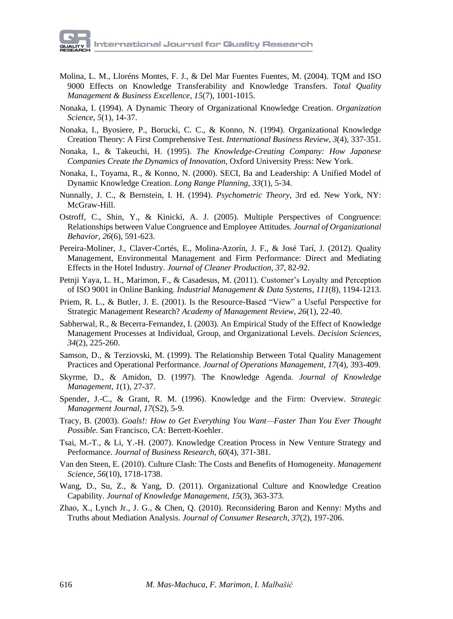- Molina, L. M., Lloréns Montes, F. J., & Del Mar Fuentes Fuentes, M. (2004). TQM and ISO 9000 Effects on Knowledge Transferability and Knowledge Transfers. *Total Quality Management & Business Excellence*, *15*(7), 1001-1015.
- Nonaka, I. (1994). A Dynamic Theory of Organizational Knowledge Creation. *Organization Science*, *5*(1), 14-37.
- Nonaka, I., Byosiere, P., Borucki, C. C., & Konno, N. (1994). Organizational Knowledge Creation Theory: A First Comprehensive Test. *International Business Review*, *3*(4), 337-351.
- Nonaka, I., & Takeuchi, H. (1995). *The Knowledge-Creating Company: How Japanese Companies Create the Dynamics of Innovation*, Oxford University Press: New York.
- Nonaka, I., Toyama, R., & Konno, N. (2000). SECI, Ba and Leadership: A Unified Model of Dynamic Knowledge Creation. *Long Range Planning*, *33*(1), 5-34.
- Nunnally, J. C., & Bernstein, I. H. (1994). *Psychometric Theory*, 3rd ed. New York, NY: McGraw-Hill.
- Ostroff, C., Shin, Y., & Kinicki, A. J. (2005). Multiple Perspectives of Congruence: Relationships between Value Congruence and Employee Attitudes. *Journal of Organizational Behavior*, *26*(6), 591-623.
- Pereira-Moliner, J., Claver-Cortés, E., Molina-Azorín, J. F., & José Tarí, J. (2012). Quality Management, Environmental Management and Firm Performance: Direct and Mediating Effects in the Hotel Industry. *Journal of Cleaner Production*, *37*, 82-92.
- Petnji Yaya, L. H., Marimon, F., & Casadesus, M. (2011). Customer's Loyalty and Perception of ISO 9001 in Online Banking. *Industrial Management & Data Systems*, *111*(8), 1194-1213.
- Priem, R. L., & Butler, J. E. (2001). Is the Resource-Based "View" a Useful Perspective for Strategic Management Research? *Academy of Management Review*, *26*(1), 22-40.
- Sabherwal, R., & Becerra-Fernandez, I. (2003). An Empirical Study of the Effect of Knowledge Management Processes at Individual, Group, and Organizational Levels. *Decision Sciences*, *34*(2), 225-260.
- Samson, D., & Terziovski, M. (1999). The Relationship Between Total Quality Management Practices and Operational Performance. *Journal of Operations Management*, *17*(4), 393-409.
- Skyrme, D., & Amidon, D. (1997). The Knowledge Agenda. *Journal of Knowledge Management*, *1*(1), 27-37.
- Spender, J.-C., & Grant, R. M. (1996). Knowledge and the Firm: Overview. *Strategic Management Journal*, *17*(S2), 5-9.
- Tracy, B. (2003). *Goals!: How to Get Everything You Want—Faster Than You Ever Thought Possible*. San Francisco, CA: Berrett-Koehler.
- Tsai, M.-T., & Li, Y.-H. (2007). Knowledge Creation Process in New Venture Strategy and Performance. *Journal of Business Research*, *60*(4), 371-381.
- Van den Steen, E. (2010). Culture Clash: The Costs and Benefits of Homogeneity. *Management Science*, *56*(10), 1718-1738.
- Wang, D., Su, Z., & Yang, D. (2011). Organizational Culture and Knowledge Creation Capability. *Journal of Knowledge Management*, *15*(3), 363-373.
- Zhao, X., Lynch Jr., J. G., & Chen, Q. (2010). Reconsidering Baron and Kenny: Myths and Truths about Mediation Analysis. *Journal of Consumer Research*, *37*(2), 197-206.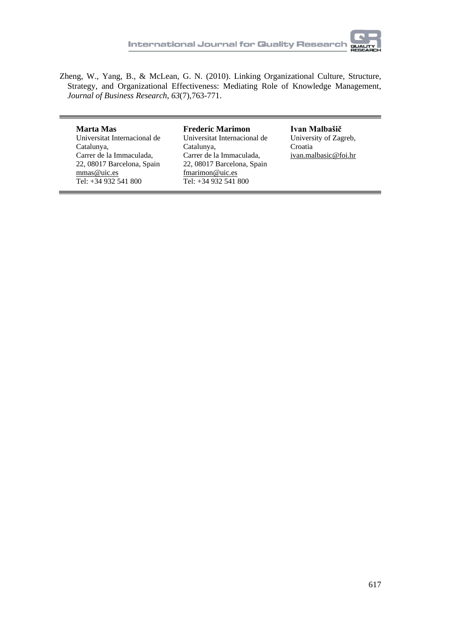

Zheng, W., Yang, B., & McLean, G. N. (2010). Linking Organizational Culture, Structure, Strategy, and Organizational Effectiveness: Mediating Role of Knowledge Management, *Journal of Business Research*, *63*(7),763-771.

**Marta Mas** Universitat Internacional de Catalunya, Carrer de la Immaculada, 22, 08017 Barcelona, Spain mmas@uic.es Tel: +34 932 541 800

**Frederic Marimon** Universitat Internacional de Catalunya, Carrer de la Immaculada, 22, 08017 Barcelona, Spain fmarimon@uic.es Tel: +34 932 541 800

**Ivan Malbašič** University of Zagreb, Croatia ivan.malbasic@foi.hr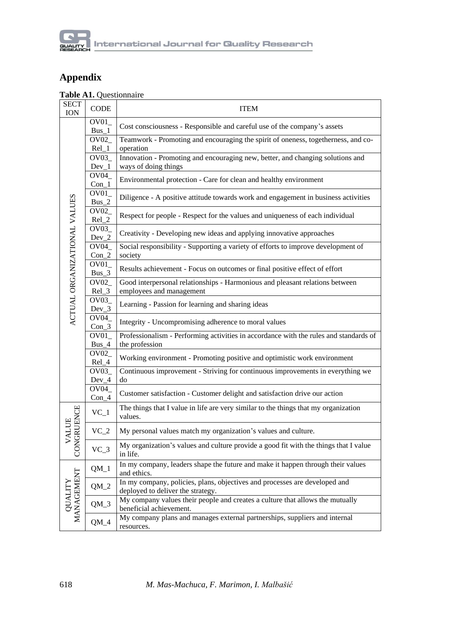

# **Appendix**

### **Table A1.** Questionnaire

| <b>SECT</b><br><b>ION</b>    | CODE                         | <b>ITEM</b>                                                                                                     |
|------------------------------|------------------------------|-----------------------------------------------------------------------------------------------------------------|
|                              | OVO1<br>$Bus_1$              | Cost consciousness - Responsible and careful use of the company's assets                                        |
|                              | OVO2<br>$Rel_1$              | Teamwork - Promoting and encouraging the spirit of oneness, togetherness, and co-<br>operation                  |
|                              | $\overline{O}V03$<br>$Dev_1$ | Innovation - Promoting and encouraging new, better, and changing solutions and<br>ways of doing things          |
|                              | $\overline{OVO4}$<br>$Con_1$ | Environmental protection - Care for clean and healthy environment                                               |
|                              | OV01<br>$Bus_2$              | Diligence - A positive attitude towards work and engagement in business activities                              |
| ACTUAL ORGANIZATIONAL VALUES | OV <sub>02</sub><br>$Rel_2$  | Respect for people - Respect for the values and uniqueness of each individual                                   |
|                              | OV <sub>03</sub><br>$Dev_2$  | Creativity - Developing new ideas and applying innovative approaches                                            |
|                              | $\overline{OVO4}$<br>$Con_2$ | Social responsibility - Supporting a variety of efforts to improve development of<br>society                    |
|                              | OVO1<br>$Bus_3$              | Results achievement - Focus on outcomes or final positive effect of effort                                      |
|                              | $\overline{OVO2}$<br>$Rel_3$ | Good interpersonal relationships - Harmonious and pleasant relations between<br>employees and management        |
|                              | OVO3<br>$Dev_3$              | Learning - Passion for learning and sharing ideas                                                               |
|                              | OV04<br>$Con_3$              | Integrity - Uncompromising adherence to moral values                                                            |
|                              | OV01<br>$Bus_4$              | Professionalism - Performing activities in accordance with the rules and standards of<br>the profession         |
|                              | OVO2<br>Rel_4                | Working environment - Promoting positive and optimistic work environment                                        |
|                              | OVO3<br>$Dev_4$              | Continuous improvement - Striving for continuous improvements in everything we<br>do                            |
|                              | OV04_<br>$Con_4$             | Customer satisfaction - Customer delight and satisfaction drive our action                                      |
|                              | $VC_1$                       | The things that I value in life are very similar to the things that my organization<br>values.                  |
| <b>VALUE</b>                 | $VC_2$                       | My personal values match my organization's values and culture.                                                  |
| CONGRUENCE                   | $VC_3$                       | My organization's values and culture provide a good fit with the things that I value<br>in life.                |
|                              | $QM_1$                       | In my company, leaders shape the future and make it happen through their values<br>and ethics.                  |
| QUALITY<br>MANAGEMENT        | $QM_2$                       | In my company, policies, plans, objectives and processes are developed and<br>deployed to deliver the strategy. |
|                              | $QM_3$                       | My company values their people and creates a culture that allows the mutually<br>beneficial achievement.        |
|                              | $QM_4$                       | My company plans and manages external partnerships, suppliers and internal<br>resources.                        |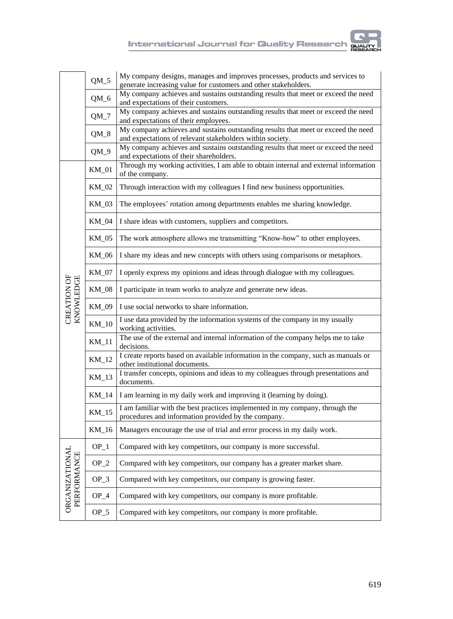

|                                     | $QM_5$                                                                                                        | My company designs, manages and improves processes, products and services to<br>generate increasing value for customers and other stakeholders. |  |  |  |  |
|-------------------------------------|---------------------------------------------------------------------------------------------------------------|-------------------------------------------------------------------------------------------------------------------------------------------------|--|--|--|--|
|                                     | $QM_6$                                                                                                        | My company achieves and sustains outstanding results that meet or exceed the need<br>and expectations of their customers.                       |  |  |  |  |
|                                     | $QM_7$                                                                                                        | My company achieves and sustains outstanding results that meet or exceed the need<br>and expectations of their employees.                       |  |  |  |  |
|                                     | $QM_8$                                                                                                        | My company achieves and sustains outstanding results that meet or exceed the need<br>and expectations of relevant stakeholders within society.  |  |  |  |  |
|                                     | $QM_9$                                                                                                        | My company achieves and sustains outstanding results that meet or exceed the need<br>and expectations of their shareholders.                    |  |  |  |  |
|                                     | $KM_01$                                                                                                       | Through my working activities, I am able to obtain internal and external information<br>of the company.                                         |  |  |  |  |
|                                     | KM_02                                                                                                         | Through interaction with my colleagues I find new business opportunities.                                                                       |  |  |  |  |
|                                     | KM 03                                                                                                         | The employees' rotation among departments enables me sharing knowledge.                                                                         |  |  |  |  |
|                                     | $KM_04$                                                                                                       | I share ideas with customers, suppliers and competitors.                                                                                        |  |  |  |  |
|                                     | KM_05                                                                                                         | The work atmosphere allows me transmitting "Know-how" to other employees.                                                                       |  |  |  |  |
|                                     | KM 06                                                                                                         | I share my ideas and new concepts with others using comparisons or metaphors.                                                                   |  |  |  |  |
|                                     | KM_07                                                                                                         | I openly express my opinions and ideas through dialogue with my colleagues.                                                                     |  |  |  |  |
| CREATION OF<br>KNOWLEDGE            | KM_08                                                                                                         | I participate in team works to analyze and generate new ideas.                                                                                  |  |  |  |  |
|                                     | KM_09<br>I use social networks to share information.                                                          |                                                                                                                                                 |  |  |  |  |
|                                     | I use data provided by the information systems of the company in my usually<br>$KM_10$<br>working activities. |                                                                                                                                                 |  |  |  |  |
|                                     | The use of the external and internal information of the company helps me to take<br>$KM_11$<br>decisions.     |                                                                                                                                                 |  |  |  |  |
|                                     | $KM_12$                                                                                                       | I create reports based on available information in the company, such as manuals or<br>other institutional documents.                            |  |  |  |  |
|                                     | $KM_13$                                                                                                       | I transfer concepts, opinions and ideas to my colleagues through presentations and<br>documents.                                                |  |  |  |  |
|                                     | KM_14                                                                                                         | I am learning in my daily work and improving it (learning by doing).                                                                            |  |  |  |  |
|                                     | $KM_{15}$                                                                                                     | I am familiar with the best practices implemented in my company, through the<br>procedures and information provided by the company.             |  |  |  |  |
|                                     | KM_16                                                                                                         | Managers encourage the use of trial and error process in my daily work.                                                                         |  |  |  |  |
|                                     | OP 1                                                                                                          | Compared with key competitors, our company is more successful.                                                                                  |  |  |  |  |
|                                     | $OP_2$                                                                                                        | Compared with key competitors, our company has a greater market share.                                                                          |  |  |  |  |
| <b>ORGANIZATIONA</b><br>PERFORMANCE | $OP_3$                                                                                                        | Compared with key competitors, our company is growing faster.                                                                                   |  |  |  |  |
|                                     | $OP_4$                                                                                                        | Compared with key competitors, our company is more profitable.                                                                                  |  |  |  |  |
|                                     | $OP_5$                                                                                                        | Compared with key competitors, our company is more profitable.                                                                                  |  |  |  |  |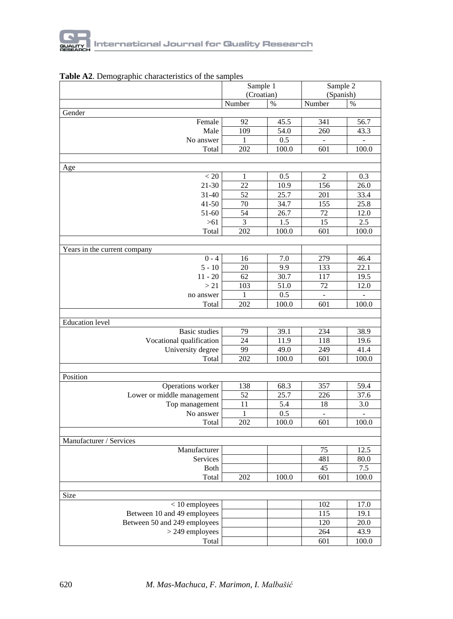|                              |                | Sample 1   | Sample 2<br>(Spanish) |                          |  |
|------------------------------|----------------|------------|-----------------------|--------------------------|--|
|                              |                | (Croatian) |                       |                          |  |
|                              | Number         | $\%$       | Number                | $\%$                     |  |
| Gender                       |                |            |                       |                          |  |
| Female                       | 92             | 45.5       | 341                   | 56.7                     |  |
| Male                         | 109            | 54.0       | 260                   | 43.3                     |  |
| No answer                    | 1              | 0.5        |                       | $\overline{a}$           |  |
| Total                        | 202            | 100.0      | 601                   | 100.0                    |  |
|                              |                |            |                       |                          |  |
| Age                          |                |            |                       |                          |  |
| < 20                         | $\mathbf{1}$   | 0.5        | $\overline{c}$        | 0.3                      |  |
| $21 - 30$                    | 22             | 10.9       | 156                   | 26.0                     |  |
| $31 - 40$                    | 52             | 25.7       | 201                   | 33.4                     |  |
| $41 - 50$                    | 70             | 34.7       | 155                   | 25.8                     |  |
| 51-60                        | 54             | 26.7       | 72                    | 12.0                     |  |
| $>61$                        | $\overline{3}$ | 1.5        | 15                    | 2.5                      |  |
| Total                        | 202            | 100.0      | 601                   | 100.0                    |  |
|                              |                |            |                       |                          |  |
| Years in the current company |                |            |                       |                          |  |
| $0 - 4$                      | 16             | 7.0        | 279                   | 46.4                     |  |
| $5 - 10$                     | 20             | 9.9        | 133                   | 22.1                     |  |
| $11 - 20$                    | 62             | 30.7       | 117                   | 19.5                     |  |
| > 21                         | 103            | 51.0       | 72                    | 12.0                     |  |
| no answer                    | 1              | 0.5        |                       | $\overline{\phantom{0}}$ |  |
| Total                        | 202            | 100.0      | 601                   | 100.0                    |  |
|                              |                |            |                       |                          |  |
| <b>Education</b> level       |                |            |                       |                          |  |
| <b>Basic</b> studies         | 79             | 39.1       | 234                   | 38.9                     |  |
| Vocational qualification     | 24             | 11.9       | 118                   | 19.6                     |  |
| University degree            | 99             | 49.0       | 249                   | 41.4                     |  |
| Total                        | 202            | 100.0      | 601                   | 100.0                    |  |
|                              |                |            |                       |                          |  |
| Position                     |                |            |                       |                          |  |
|                              |                |            |                       |                          |  |
| Operations worker            | 138<br>52      | 68.3       | 357<br>226            | 59.4                     |  |
| Lower or middle management   |                | 25.7       |                       | 37.6                     |  |
| Top management               | 11             | 5.4        | 18                    | 3.0                      |  |
| No answer                    | 1              | 0.5        |                       |                          |  |
| Total                        | 202            | 100.0      | 601                   | 100.0                    |  |
|                              |                |            |                       |                          |  |
| Manufacturer / Services      |                |            |                       |                          |  |
| Manufacturer                 |                |            | 75                    | 12.5                     |  |
| Services                     |                |            | 481                   | 80.0                     |  |
| <b>Both</b>                  |                |            | 45                    | 7.5                      |  |
| Total                        | 202            | 100.0      | 601                   | 100.0                    |  |
|                              |                |            |                       |                          |  |
| Size                         |                |            |                       |                          |  |
| $<$ 10 employees             |                |            | 102                   | 17.0                     |  |
| Between 10 and 49 employees  |                |            | $\overline{115}$      | 19.1                     |  |
| Between 50 and 249 employees |                |            | 120                   | 20.0                     |  |
| $>$ 249 employees            |                |            | 264                   | 43.9                     |  |
| Total                        |                |            | 601                   | 100.0                    |  |

### **Table A2**. Demographic characteristics of the samples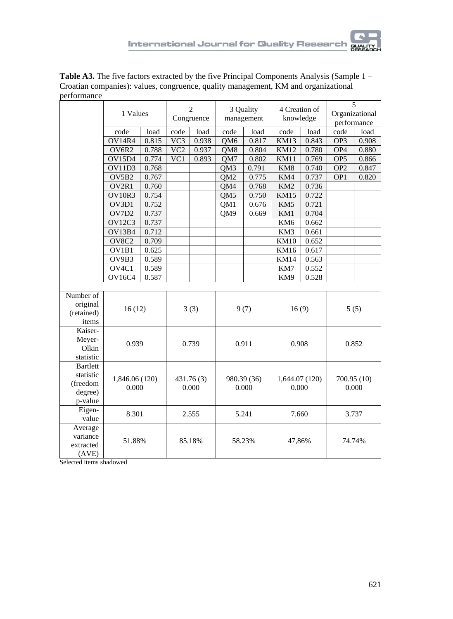

| 011011110110C      |                    |       |                              |            |                 |                         |                 |                            |                 |                                    |  |
|--------------------|--------------------|-------|------------------------------|------------|-----------------|-------------------------|-----------------|----------------------------|-----------------|------------------------------------|--|
|                    | 1 Values           |       | $\overline{2}$<br>Congruence |            |                 | 3 Quality<br>management |                 | 4 Creation of<br>knowledge |                 | 5<br>Organizational<br>performance |  |
|                    | code               | load  | code                         | load       | code            | load                    | code            | load                       | code            | load                               |  |
|                    | OV14R4             | 0.815 | $\overline{VC3}$             | 0.938      | QM6             | 0.817                   | KM13            | 0.843                      | OP3             | 0.908                              |  |
|                    | OV6R2              | 0.788 | $\overline{VC2}$             | 0.937      | QM8             | 0.804                   | <b>KM12</b>     | 0.780                      | OP <sub>4</sub> | 0.880                              |  |
|                    | <b>OV15D4</b>      | 0.774 | VC1                          | 0.893      | QM7             | 0.802                   | <b>KM11</b>     | 0.769                      | OP5             | 0.866                              |  |
|                    | OV11D3             | 0.768 |                              |            | QM3             | 0.791                   | KM8             | 0.740                      | OP <sub>2</sub> | 0.847                              |  |
|                    | OV5B2              | 0.767 |                              |            | QM <sub>2</sub> | 0.775                   | KM4             | 0.737                      | OP1             | 0.820                              |  |
|                    | OV2R1              | 0.760 |                              |            | QM4             | 0.768                   | KM <sub>2</sub> | 0.736                      |                 |                                    |  |
|                    | OV10R3             | 0.754 |                              |            | QM5             | 0.750                   | <b>KM15</b>     | 0.722                      |                 |                                    |  |
|                    | OV3D1              | 0.752 |                              |            | QM1             | 0.676                   | KM5             | 0.721                      |                 |                                    |  |
|                    | OV7D2              | 0.737 |                              |            | QM9             | 0.669                   | KM1             | 0.704                      |                 |                                    |  |
|                    | OV12C3             | 0.737 |                              |            |                 |                         | KM <sub>6</sub> | 0.662                      |                 |                                    |  |
|                    | <b>OV13B4</b>      | 0.712 |                              |            |                 |                         | KM3             | 0.661                      |                 |                                    |  |
|                    | OV8C <sub>2</sub>  | 0.709 |                              |            |                 |                         | <b>KM10</b>     | 0.652                      |                 |                                    |  |
|                    | OV1B1              | 0.625 |                              |            |                 |                         | <b>KM16</b>     | 0.617                      |                 |                                    |  |
|                    | $\overline{OV9B3}$ | 0.589 |                              |            |                 |                         | KM14            | 0.563                      |                 |                                    |  |
|                    | OV <sub>4</sub> C1 | 0.589 |                              |            |                 |                         | KM7             | 0.552                      |                 |                                    |  |
|                    | <b>OV16C4</b>      | 0.587 |                              |            |                 |                         | KM9             | 0.528                      |                 |                                    |  |
|                    |                    |       |                              |            |                 |                         |                 |                            |                 |                                    |  |
| Number of          |                    |       |                              |            |                 |                         |                 |                            |                 |                                    |  |
| original           | 16(12)             |       |                              | 3(3)       |                 | 9(7)                    | 16(9)           |                            |                 | 5(5)                               |  |
| (retained)         |                    |       |                              |            |                 |                         |                 |                            |                 |                                    |  |
| items              |                    |       |                              |            |                 |                         |                 |                            |                 |                                    |  |
| Kaiser-            |                    |       |                              |            |                 |                         |                 |                            |                 |                                    |  |
| Meyer-             | 0.939              |       |                              | 0.739      |                 | 0.911                   | 0.908           |                            | 0.852           |                                    |  |
| Olkin              |                    |       |                              |            |                 |                         |                 |                            |                 |                                    |  |
| statistic          |                    |       |                              |            |                 |                         |                 |                            |                 |                                    |  |
| <b>Bartlett</b>    |                    |       |                              |            |                 |                         |                 |                            |                 |                                    |  |
| statistic          | 1,846.06 (120)     |       |                              | 431.76 (3) |                 | 980.39 (36)             | 1,644.07 (120)  |                            | 700.95 (10)     |                                    |  |
| (freedom           | 0.000              |       |                              | 0.000      |                 | 0.000                   | 0.000           |                            | 0.000           |                                    |  |
| degree)            |                    |       |                              |            |                 |                         |                 |                            |                 |                                    |  |
| p-value            |                    |       |                              |            |                 |                         |                 |                            |                 |                                    |  |
| Eigen-             | 8.301              |       |                              | 2.555      |                 | 5.241                   | 7.660           |                            |                 | 3.737                              |  |
| value              |                    |       |                              |            |                 |                         |                 |                            |                 |                                    |  |
| Average            |                    |       |                              |            |                 |                         |                 |                            |                 |                                    |  |
| variance           | 51.88%             |       |                              | 85.18%     |                 | 58.23%                  | 47,86%          |                            | 74.74%          |                                    |  |
| extracted<br>(AVE) |                    |       |                              |            |                 |                         |                 |                            |                 |                                    |  |
|                    |                    |       |                              |            |                 |                         |                 |                            |                 |                                    |  |

**Table A3.** The five factors extracted by the five Principal Components Analysis (Sample 1 – Croatian companies): values, congruence, quality management, KM and organizational performance

Selected items shadowed